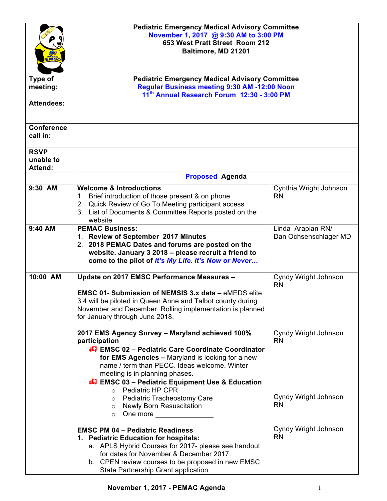| MSc                                        | <b>Pediatric Emergency Medical Advisory Committee</b><br>November 1, 2017 @ 9:30 AM to 3:00 PM<br>653 West Pratt Street Room 212<br>Baltimore, MD 21201                                                                                                                                                                                                                                                                          |                                                                        |  |
|--------------------------------------------|----------------------------------------------------------------------------------------------------------------------------------------------------------------------------------------------------------------------------------------------------------------------------------------------------------------------------------------------------------------------------------------------------------------------------------|------------------------------------------------------------------------|--|
| Type of                                    | <b>Pediatric Emergency Medical Advisory Committee</b>                                                                                                                                                                                                                                                                                                                                                                            |                                                                        |  |
| meeting:                                   | Regular Business meeting 9:30 AM -12:00 Noon<br>11th Annual Research Forum 12:30 - 3:00 PM                                                                                                                                                                                                                                                                                                                                       |                                                                        |  |
| <b>Attendees:</b>                          |                                                                                                                                                                                                                                                                                                                                                                                                                                  |                                                                        |  |
|                                            |                                                                                                                                                                                                                                                                                                                                                                                                                                  |                                                                        |  |
| <b>Conference</b><br>call in:              |                                                                                                                                                                                                                                                                                                                                                                                                                                  |                                                                        |  |
| <b>RSVP</b><br>unable to<br><b>Attend:</b> |                                                                                                                                                                                                                                                                                                                                                                                                                                  |                                                                        |  |
|                                            | <b>Proposed Agenda</b>                                                                                                                                                                                                                                                                                                                                                                                                           |                                                                        |  |
| 9:30 AM                                    | <b>Welcome &amp; Introductions</b><br>1. Brief introduction of those present & on phone<br>2. Quick Review of Go To Meeting participant access<br>3. List of Documents & Committee Reports posted on the<br>website                                                                                                                                                                                                              | Cynthia Wright Johnson<br><b>RN</b>                                    |  |
| 9:40 AM                                    | <b>PEMAC Business:</b><br>1. Review of September 2017 Minutes<br>2. 2018 PEMAC Dates and forums are posted on the<br>website. January 3 2018 - please recruit a friend to<br>come to the pilot of It's My Life. It's Now or Never                                                                                                                                                                                                | Linda Arapian RN/<br>Dan Ochsenschlager MD                             |  |
| 10:00 AM                                   | Update on 2017 EMSC Performance Measures -<br><b>EMSC 01- Submission of NEMSIS 3.x data - eMEDS elite</b><br>3.4 will be piloted in Queen Anne and Talbot county during<br>November and December. Rolling implementation is planned<br>for January through June 2018.                                                                                                                                                            | Cyndy Wright Johnson<br><b>RN</b>                                      |  |
|                                            | 2017 EMS Agency Survey - Maryland achieved 100%<br>participation<br>EMSC 02 - Pediatric Care Coordinate Coordinator<br>for EMS Agencies - Maryland is looking for a new<br>name / term than PECC. Ideas welcome. Winter<br>meeting is in planning phases.<br><b>43</b> EMSC 03 - Pediatric Equipment Use & Education<br>o Pediatric HP CPR<br>o Pediatric Tracheostomy Care<br>o Newly Born Resuscitation<br>One more<br>$\circ$ | Cyndy Wright Johnson<br><b>RN</b><br>Cyndy Wright Johnson<br><b>RN</b> |  |
|                                            | <b>EMSC PM 04 - Pediatric Readiness</b><br>1. Pediatric Education for hospitals:<br>a. APLS Hybrid Courses for 2017- please see handout<br>for dates for November & December 2017.<br>b. CPEN review courses to be proposed in new EMSC<br>State Partnership Grant application                                                                                                                                                   | Cyndy Wright Johnson<br><b>RN</b>                                      |  |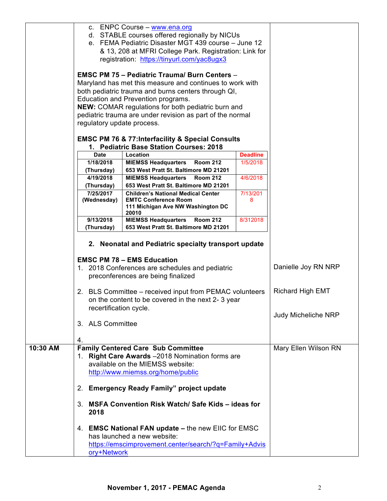|          | c. ENPC Course - www.ena.org<br>d. STABLE courses offered regionally by NICUs<br>e. FEMA Pediatric Disaster MGT 439 course - June 12<br>& 13, 208 at MFRI College Park. Registration: Link for<br>registration: https://tinyurl.com/yac8ugx3                                                                                                                          |                                                                                                                                                                                                                 |                 |                            |
|----------|-----------------------------------------------------------------------------------------------------------------------------------------------------------------------------------------------------------------------------------------------------------------------------------------------------------------------------------------------------------------------|-----------------------------------------------------------------------------------------------------------------------------------------------------------------------------------------------------------------|-----------------|----------------------------|
|          | <b>EMSC PM 75 - Pediatric Trauma/ Burn Centers -</b><br>Maryland has met this measure and continues to work with<br>both pediatric trauma and burns centers through QI,<br>Education and Prevention programs.<br><b>NEW:</b> COMAR regulations for both pediatric burn and<br>pediatric trauma are under revision as part of the normal<br>regulatory update process. |                                                                                                                                                                                                                 |                 |                            |
|          |                                                                                                                                                                                                                                                                                                                                                                       | <b>EMSC PM 76 &amp; 77: Interfacility &amp; Special Consults</b><br>1. Pediatric Base Station Courses: 2018                                                                                                     |                 |                            |
|          | <b>Date</b>                                                                                                                                                                                                                                                                                                                                                           | Location                                                                                                                                                                                                        | <b>Deadline</b> |                            |
|          | 1/18/2018<br>(Thursday)                                                                                                                                                                                                                                                                                                                                               | <b>MIEMSS Headquarters</b><br><b>Room 212</b><br>653 West Pratt St. Baltimore MD 21201                                                                                                                          | 1/5/2018        |                            |
|          | 4/19/2018<br>(Thursday)                                                                                                                                                                                                                                                                                                                                               | <b>MIEMSS Headquarters</b><br><b>Room 212</b><br>653 West Pratt St. Baltimore MD 21201                                                                                                                          | 4/6/2018        |                            |
|          | 7/25/2017<br>(Wednesday)                                                                                                                                                                                                                                                                                                                                              | <b>Children's National Medical Center</b><br><b>EMTC Conference Room</b><br>111 Michigan Ave NW Washington DC<br>20010                                                                                          | 7/13/201<br>8   |                            |
|          | 9/13/2018                                                                                                                                                                                                                                                                                                                                                             | <b>MIEMSS Headquarters</b><br><b>Room 212</b>                                                                                                                                                                   | 8/312018        |                            |
|          | (Thursday)                                                                                                                                                                                                                                                                                                                                                            | 653 West Pratt St. Baltimore MD 21201                                                                                                                                                                           |                 |                            |
|          | 2. Neonatal and Pediatric specialty transport update<br><b>EMSC PM 78 - EMS Education</b><br>1. 2018 Conferences are schedules and pediatric<br>preconferences are being finalized                                                                                                                                                                                    |                                                                                                                                                                                                                 |                 | Danielle Joy RN NRP        |
|          | recertification cycle.                                                                                                                                                                                                                                                                                                                                                | 2. BLS Committee – received input from PEMAC volunteers<br>on the content to be covered in the next 2-3 year                                                                                                    |                 | <b>Richard High EMT</b>    |
|          | 3. ALS Committee                                                                                                                                                                                                                                                                                                                                                      |                                                                                                                                                                                                                 |                 | <b>Judy Micheliche NRP</b> |
|          | 4.                                                                                                                                                                                                                                                                                                                                                                    |                                                                                                                                                                                                                 |                 |                            |
| 10:30 AM | 1.                                                                                                                                                                                                                                                                                                                                                                    | <b>Family Centered Care Sub Committee</b><br>Right Care Awards -2018 Nomination forms are<br>available on the MIEMSS website:<br>http://www.miemss.org/home/public<br>2. Emergency Ready Family" project update |                 | Mary Ellen Wilson RN       |
|          | 3. MSFA Convention Risk Watch/ Safe Kids - ideas for                                                                                                                                                                                                                                                                                                                  |                                                                                                                                                                                                                 |                 |                            |
|          | 2018                                                                                                                                                                                                                                                                                                                                                                  |                                                                                                                                                                                                                 |                 |                            |
|          | ory+Network                                                                                                                                                                                                                                                                                                                                                           | 4. EMSC National FAN update - the new EIIC for EMSC<br>has launched a new website:<br>https://emscimprovement.center/search/?q=Family+Advis                                                                     |                 |                            |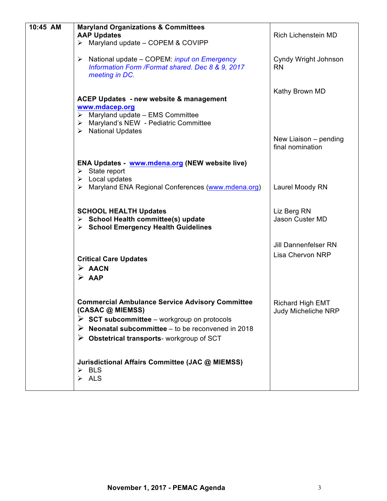| 10:45 AM | <b>Maryland Organizations &amp; Committees</b>                                                                                                                                                                                               |                                                        |
|----------|----------------------------------------------------------------------------------------------------------------------------------------------------------------------------------------------------------------------------------------------|--------------------------------------------------------|
|          | <b>AAP Updates</b>                                                                                                                                                                                                                           | Rich Lichenstein MD                                    |
|          | $\triangleright$ Maryland update - COPEM & COVIPP                                                                                                                                                                                            |                                                        |
|          | National update - COPEM: <i>input on Emergency</i><br>➤<br>Information Form /Format shared. Dec 8 & 9, 2017<br>meeting in DC.                                                                                                                | Cyndy Wright Johnson<br><b>RN</b>                      |
|          | <b>ACEP Updates - new website &amp; management</b><br>www.mdacep.org<br>$\triangleright$ Maryland update - EMS Committee                                                                                                                     | Kathy Brown MD                                         |
|          | Maryland's NEW - Pediatric Committee<br>➤<br><b>National Updates</b><br>$\blacktriangleright$                                                                                                                                                | New Liaison - pending<br>final nomination              |
|          | <b>ENA Updates - www.mdena.org (NEW website live)</b><br>State report<br>➤<br>$\triangleright$ Local updates                                                                                                                                 |                                                        |
|          | Maryland ENA Regional Conferences (www.mdena.org)<br>$\blacktriangleright$                                                                                                                                                                   | Laurel Moody RN                                        |
|          |                                                                                                                                                                                                                                              |                                                        |
|          | <b>SCHOOL HEALTH Updates</b><br>$\triangleright$ School Health committee(s) update<br>$\triangleright$ School Emergency Health Guidelines                                                                                                    | Liz Berg RN<br>Jason Custer MD                         |
|          | <b>Critical Care Updates</b><br>$\triangleright$ AACN<br>$\triangleright$ AAP                                                                                                                                                                | <b>Jill Dannenfelser RN</b><br><b>Lisa Chervon NRP</b> |
|          | <b>Commercial Ambulance Service Advisory Committee</b><br>(CASAC @ MIEMSS)<br>SCT subcommittee - workgroup on protocols<br>Neonatal subcommittee - to be reconvened in 2018<br>➤<br>$\triangleright$ Obstetrical transports-workgroup of SCT | <b>Richard High EMT</b><br><b>Judy Micheliche NRP</b>  |
|          | Jurisdictional Affairs Committee (JAC @ MIEMSS)<br>$\triangleright$ BLS<br>$\triangleright$ ALS                                                                                                                                              |                                                        |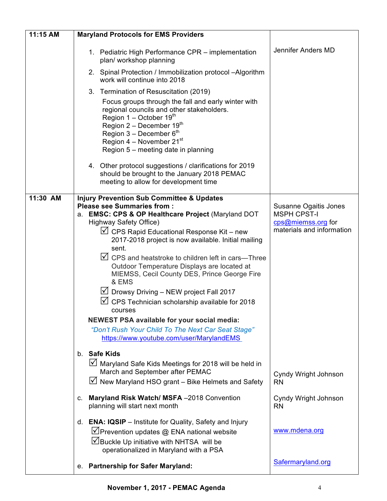| 11:15 AM | <b>Maryland Protocols for EMS Providers</b>                                                                                                                                                                                                                         |                                             |
|----------|---------------------------------------------------------------------------------------------------------------------------------------------------------------------------------------------------------------------------------------------------------------------|---------------------------------------------|
|          | 1. Pediatric High Performance CPR - implementation<br>plan/ workshop planning                                                                                                                                                                                       | Jennifer Anders MD                          |
|          | 2. Spinal Protection / Immobilization protocol - Algorithm<br>work will continue into 2018                                                                                                                                                                          |                                             |
|          | 3. Termination of Resuscitation (2019)                                                                                                                                                                                                                              |                                             |
|          | Focus groups through the fall and early winter with<br>regional councils and other stakeholders.<br>Region $1 -$ October $19th$<br>Region $2 -$ December $19th$<br>Region $3 -$ December $6th$<br>Region $4 -$ November 21st<br>Region 5 – meeting date in planning |                                             |
|          | 4. Other protocol suggestions / clarifications for 2019<br>should be brought to the January 2018 PEMAC<br>meeting to allow for development time                                                                                                                     |                                             |
| 11:30 AM | <b>Injury Prevention Sub Committee &amp; Updates</b><br><b>Please see Summaries from:</b><br>a. EMSC: CPS & OP Healthcare Project (Maryland DOT                                                                                                                     | Susanne Ogaitis Jones<br><b>MSPH CPST-I</b> |
|          | <b>Highway Safety Office)</b>                                                                                                                                                                                                                                       | cps@miemss.org for                          |
|          | $\triangledown$ CPS Rapid Educational Response Kit – new<br>2017-2018 project is now available. Initial mailing<br>sent.                                                                                                                                            | materials and information                   |
|          | $\vee$ CPS and heatstroke to children left in cars—Three<br>Outdoor Temperature Displays are located at<br>MIEMSS, Cecil County DES, Prince George Fire<br>& EMS                                                                                                    |                                             |
|          | $\vee$ Drowsy Driving – NEW project Fall 2017<br>$\vee$ CPS Technician scholarship available for 2018<br>courses                                                                                                                                                    |                                             |
|          | <b>NEWEST PSA available for your social media:</b>                                                                                                                                                                                                                  |                                             |
|          | "Don't Rush Your Child To The Next Car Seat Stage"<br>https://www.youtube.com/user/MarylandEMS                                                                                                                                                                      |                                             |
|          | b. Safe Kids<br>Maryland Safe Kids Meetings for 2018 will be held in<br>March and September after PEMAC<br>$\boxtimes$ New Maryland HSO grant – Bike Helmets and Safety                                                                                             | Cyndy Wright Johnson<br><b>RN</b>           |
|          | Maryland Risk Watch/ MSFA -2018 Convention<br>C.<br>planning will start next month                                                                                                                                                                                  | Cyndy Wright Johnson<br><b>RN</b>           |
|          | d. <b>ENA: IQSIP</b> – Institute for Quality, Safety and Injury<br>$\Box$ Prevention updates $\oslash$ ENA national website<br>Buckle Up initiative with NHTSA will be<br>operationalized in Maryland with a PSA                                                    | www.mdena.org                               |
|          | e. Partnership for Safer Maryland:                                                                                                                                                                                                                                  | Safermaryland.org                           |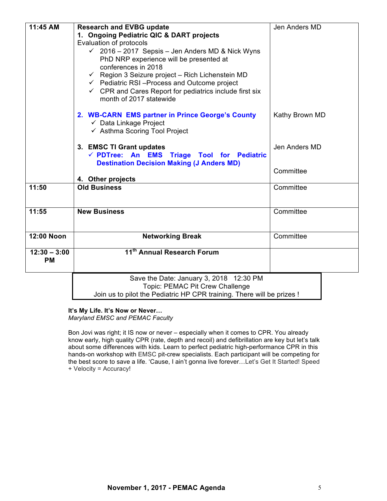| 11:45 AM                    | <b>Research and EVBG update</b><br>1. Ongoing Pediatric QIC & DART projects<br>Evaluation of protocols<br>$\checkmark$ 2016 – 2017 Sepsis – Jen Anders MD & Nick Wyns<br>PhD NRP experience will be presented at<br>conferences in 2018<br>$\checkmark$ Region 3 Seizure project - Rich Lichenstein MD<br>$\checkmark$ Pediatric RSI-Process and Outcome project | Jen Anders MD              |  |  |
|-----------------------------|------------------------------------------------------------------------------------------------------------------------------------------------------------------------------------------------------------------------------------------------------------------------------------------------------------------------------------------------------------------|----------------------------|--|--|
|                             | $\checkmark$ CPR and Cares Report for pediatrics include first six<br>month of 2017 statewide<br>2. WB-CARN EMS partner in Prince George's County<br>$\checkmark$ Data Linkage Project<br>← Asthma Scoring Tool Project                                                                                                                                          | Kathy Brown MD             |  |  |
|                             | 3. EMSC TI Grant updates<br>√ PDTree: An EMS Triage Tool for Pediatric<br><b>Destination Decision Making (J Anders MD)</b>                                                                                                                                                                                                                                       | Jen Anders MD<br>Committee |  |  |
| 11:50                       | 4. Other projects<br><b>Old Business</b>                                                                                                                                                                                                                                                                                                                         | Committee                  |  |  |
| 11:55                       | <b>New Business</b>                                                                                                                                                                                                                                                                                                                                              | Committee                  |  |  |
| 12:00 Noon                  | <b>Networking Break</b>                                                                                                                                                                                                                                                                                                                                          | Committee                  |  |  |
| $12:30 - 3:00$<br><b>PM</b> | 11 <sup>th</sup> Annual Research Forum                                                                                                                                                                                                                                                                                                                           |                            |  |  |
|                             | Save the Date: January 3, 2018 12:30 PM<br>Topic: PEMAC Pit Crew Challenge<br>Join us to pilot the Pediatric HP CPR training. There will be prizes !                                                                                                                                                                                                             |                            |  |  |

#### **It's My Life. It's Now or Never…**

*Maryland EMSC and PEMAC Faculty* 

Bon Jovi was right; it IS now or never – especially when it comes to CPR. You already know early, high quality CPR (rate, depth and recoil) and defibrillation are key but let's talk about some differences with kids. Learn to perfect pediatric high-performance CPR in this hands-on workshop with EMSC pit-crew specialists. Each participant will be competing for the best score to save a life. 'Cause, I ain't gonna live forever…Let's Get It Started! Speed + Velocity = Accuracy!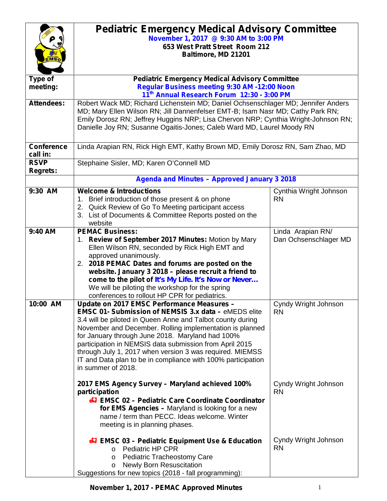|                                | <b>Pediatric Emergency Medical Advisory Committee</b><br>November 1, 2017 @ 9:30 AM to 3:00 PM<br>653 West Pratt Street Room 212<br>Baltimore, MD 21201                                                                                                                                                                                                                                                                                                                                              |                                            |  |
|--------------------------------|------------------------------------------------------------------------------------------------------------------------------------------------------------------------------------------------------------------------------------------------------------------------------------------------------------------------------------------------------------------------------------------------------------------------------------------------------------------------------------------------------|--------------------------------------------|--|
| Type of<br>meeting:            | <b>Pediatric Emergency Medical Advisory Committee</b><br>Regular Business meeting 9:30 AM -12:00 Noon<br>11th Annual Research Forum 12:30 - 3:00 PM                                                                                                                                                                                                                                                                                                                                                  |                                            |  |
| <b>Attendees:</b>              | Robert Wack MD; Richard Lichenstein MD; Daniel Ochsenschlager MD; Jennifer Anders<br>MD; Mary Ellen Wilson RN; Jill Dannenfelser EMT-B; Isam Nasr MD; Cathy Park RN;<br>Emily Dorosz RN; Jeffrey Huggins NRP; Lisa Chervon NRP; Cynthia Wright-Johnson RN;<br>Danielle Joy RN; Susanne Ogaitis-Jones; Caleb Ward MD, Laurel Moody RN                                                                                                                                                                 |                                            |  |
| <b>Conference</b><br>call in:  | Linda Arapian RN, Rick High EMT, Kathy Brown MD, Emily Dorosz RN, Sam Zhao, MD                                                                                                                                                                                                                                                                                                                                                                                                                       |                                            |  |
| <b>RSVP</b><br><b>Regrets:</b> | Stephaine Sisler, MD; Karen O'Connell MD                                                                                                                                                                                                                                                                                                                                                                                                                                                             |                                            |  |
|                                | <b>Agenda and Minutes - Approved January 3 2018</b>                                                                                                                                                                                                                                                                                                                                                                                                                                                  |                                            |  |
| 9:30 AM                        | <b>Welcome &amp; Introductions</b><br>Brief introduction of those present & on phone<br>1.<br>2. Quick Review of Go To Meeting participant access<br>3. List of Documents & Committee Reports posted on the<br>website                                                                                                                                                                                                                                                                               | Cynthia Wright Johnson<br><b>RN</b>        |  |
| 9:40 AM                        | <b>PEMAC Business:</b><br>1. Review of September 2017 Minutes: Motion by Mary<br>Ellen Wilson RN, seconded by Rick High EMT and<br>approved unanimously.<br>2. 2018 PEMAC Dates and forums are posted on the<br>website. January 3 2018 - please recruit a friend to<br>come to the pilot of It's My Life. It's Now or Never<br>We will be piloting the workshop for the spring<br>conferences to rollout HP CPR for pediatrics.                                                                     | Linda Arapian RN/<br>Dan Ochsenschlager MD |  |
| 10:00 AM                       | Update on 2017 EMSC Performance Measures -<br><b>EMSC 01- Submission of NEMSIS 3.x data - eMEDS elite</b><br>3.4 will be piloted in Queen Anne and Talbot county during<br>November and December. Rolling implementation is planned<br>for January through June 2018. Maryland had 100%<br>participation in NEMSIS data submission from April 2015<br>through July 1, 2017 when version 3 was required. MIEMSS<br>IT and Data plan to be in compliance with 100% participation<br>in summer of 2018. | Cyndy Wright Johnson<br><b>RN</b>          |  |
|                                | 2017 EMS Agency Survey - Maryland achieved 100%<br>participation<br><b>47 EMSC 02 - Pediatric Care Coordinate Coordinator</b><br>for EMS Agencies - Maryland is looking for a new<br>name / term than PECC. Ideas welcome. Winter<br>meeting is in planning phases.                                                                                                                                                                                                                                  | Cyndy Wright Johnson<br><b>RN</b>          |  |
|                                | <b>47 EMSC 03 - Pediatric Equipment Use &amp; Education</b><br>o Pediatric HP CPR<br><b>Pediatric Tracheostomy Care</b><br>$\circ$<br><b>Newly Born Resuscitation</b><br>$\circ$<br>Suggestions for new topics (2018 - fall programming):                                                                                                                                                                                                                                                            | Cyndy Wright Johnson<br><b>RN</b>          |  |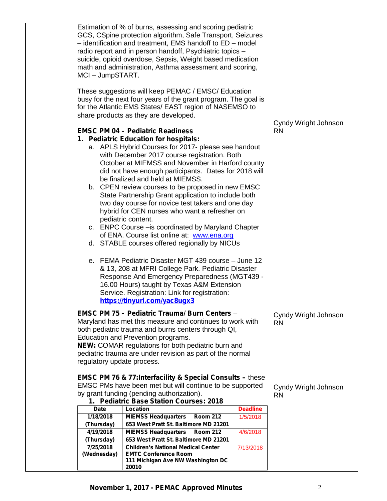| MCI-JumpSTART.             | Estimation of % of burns, assessing and scoring pediatric<br>GCS, CSpine protection algorithm, Safe Transport, Seizures<br>$-$ identification and treatment, EMS handoff to $ED$ – model<br>radio report and in person handoff, Psychiatric topics -<br>suicide, opioid overdose, Sepsis, Weight based medication<br>math and administration, Asthma assessment and scoring,<br>These suggestions will keep PEMAC / EMSC/ Education<br>busy for the next four years of the grant program. The goal is                                                                                                                                                                                                                                                                                                                                                                                                                                                                                               |                 |                                   |
|----------------------------|-----------------------------------------------------------------------------------------------------------------------------------------------------------------------------------------------------------------------------------------------------------------------------------------------------------------------------------------------------------------------------------------------------------------------------------------------------------------------------------------------------------------------------------------------------------------------------------------------------------------------------------------------------------------------------------------------------------------------------------------------------------------------------------------------------------------------------------------------------------------------------------------------------------------------------------------------------------------------------------------------------|-----------------|-----------------------------------|
|                            | for the Atlantic EMS States/ EAST region of NASEMSO to<br>share products as they are developed.                                                                                                                                                                                                                                                                                                                                                                                                                                                                                                                                                                                                                                                                                                                                                                                                                                                                                                     |                 | Cyndy Wright Johnson              |
|                            | <b>EMSC PM 04 - Pediatric Readiness</b><br>1. Pediatric Education for hospitals:<br>a. APLS Hybrid Courses for 2017- please see handout<br>with December 2017 course registration. Both<br>October at MIEMSS and November in Harford county<br>did not have enough participants. Dates for 2018 will<br>be finalized and held at MIEMSS.<br>b. CPEN review courses to be proposed in new EMSC<br>State Partnership Grant application to include both<br>two day course for novice test takers and one day<br>hybrid for CEN nurses who want a refresher on<br>pediatric content.<br>c. ENPC Course - is coordinated by Maryland Chapter<br>of ENA. Course list online at: www.ena.org<br>d. STABLE courses offered regionally by NICUs<br>e. FEMA Pediatric Disaster MGT 439 course - June 12<br>& 13, 208 at MFRI College Park. Pediatric Disaster<br>Response And Emergency Preparedness (MGT439 -<br>16.00 Hours) taught by Texas A&M Extension<br>Service. Registration: Link for registration: |                 | <b>RN</b>                         |
|                            | https://tinyurl.com/yac8ugx3<br><b>EMSC PM 75 - Pediatric Trauma/ Burn Centers -</b>                                                                                                                                                                                                                                                                                                                                                                                                                                                                                                                                                                                                                                                                                                                                                                                                                                                                                                                |                 | Cyndy Wright Johnson              |
| regulatory update process. | Maryland has met this measure and continues to work with<br>both pediatric trauma and burns centers through QI,<br>Education and Prevention programs.<br>NEW: COMAR regulations for both pediatric burn and<br>pediatric trauma are under revision as part of the normal                                                                                                                                                                                                                                                                                                                                                                                                                                                                                                                                                                                                                                                                                                                            |                 | <b>RN</b>                         |
|                            | <b>EMSC PM 76 &amp; 77: Interfacility &amp; Special Consults - these</b><br>EMSC PMs have been met but will continue to be supported<br>by grant funding (pending authorization).                                                                                                                                                                                                                                                                                                                                                                                                                                                                                                                                                                                                                                                                                                                                                                                                                   |                 | Cyndy Wright Johnson<br><b>RN</b> |
|                            | 1. Pediatric Base Station Courses: 2018                                                                                                                                                                                                                                                                                                                                                                                                                                                                                                                                                                                                                                                                                                                                                                                                                                                                                                                                                             |                 |                                   |
| <b>Date</b><br>1/18/2018   | Location<br><b>MIEMSS Headquarters</b><br><b>Room 212</b>                                                                                                                                                                                                                                                                                                                                                                                                                                                                                                                                                                                                                                                                                                                                                                                                                                                                                                                                           | <b>Deadline</b> |                                   |
|                            | 653 West Pratt St. Baltimore MD 21201                                                                                                                                                                                                                                                                                                                                                                                                                                                                                                                                                                                                                                                                                                                                                                                                                                                                                                                                                               | 1/5/2018        |                                   |
| (Thursday)<br>4/19/2018    | <b>MIEMSS Headquarters</b><br><b>Room 212</b>                                                                                                                                                                                                                                                                                                                                                                                                                                                                                                                                                                                                                                                                                                                                                                                                                                                                                                                                                       | 4/6/2018        |                                   |
| (Thursday)                 | 653 West Pratt St. Baltimore MD 21201                                                                                                                                                                                                                                                                                                                                                                                                                                                                                                                                                                                                                                                                                                                                                                                                                                                                                                                                                               |                 |                                   |
| 7/25/2018                  | <b>Children's National Medical Center</b>                                                                                                                                                                                                                                                                                                                                                                                                                                                                                                                                                                                                                                                                                                                                                                                                                                                                                                                                                           | 7/13/2018       |                                   |
| (Wednesday)                | <b>EMTC Conference Room</b><br>111 Michigan Ave NW Washington DC<br>20010                                                                                                                                                                                                                                                                                                                                                                                                                                                                                                                                                                                                                                                                                                                                                                                                                                                                                                                           |                 |                                   |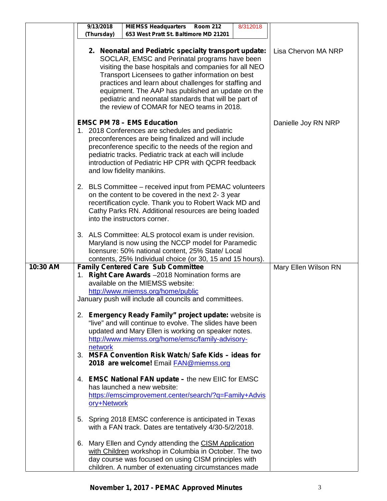|          | 9/13/2018<br>(Thursday) | <b>MIEMSS Headquarters</b> Room 212<br>653 West Pratt St. Baltimore MD 21201                                                                                                                                                                                                                                                                                                                                                                                                                                                                                                                                                                           | 8/312018 |                      |
|----------|-------------------------|--------------------------------------------------------------------------------------------------------------------------------------------------------------------------------------------------------------------------------------------------------------------------------------------------------------------------------------------------------------------------------------------------------------------------------------------------------------------------------------------------------------------------------------------------------------------------------------------------------------------------------------------------------|----------|----------------------|
|          |                         | 2. Neonatal and Pediatric specialty transport update:<br>SOCLAR, EMSC and Perinatal programs have been<br>visiting the base hospitals and companies for all NEO<br>Transport Licensees to gather information on best<br>practices and learn about challenges for staffing and<br>equipment. The AAP has published an update on the<br>pediatric and neonatal standards that will be part of<br>the review of COMAR for NEO teams in 2018.                                                                                                                                                                                                              |          | Lisa Chervon MA NRP  |
|          |                         | <b>EMSC PM 78 - EMS Education</b><br>1. 2018 Conferences are schedules and pediatric<br>preconferences are being finalized and will include<br>preconference specific to the needs of the region and<br>pediatric tracks. Pediatric track at each will include<br>introduction of Pediatric HP CPR with QCPR feedback<br>and low fidelity manikins.<br>2. BLS Committee - received input from PEMAC volunteers<br>on the content to be covered in the next 2-3 year<br>recertification cycle. Thank you to Robert Wack MD and<br>Cathy Parks RN. Additional resources are being loaded                                                                 |          | Danielle Joy RN NRP  |
|          |                         | into the instructors corner.<br>3. ALS Committee: ALS protocol exam is under revision.<br>Maryland is now using the NCCP model for Paramedic<br>licensure: 50% national content, 25% State/ Local<br>contents, 25% Individual choice (or 30, 15 and 15 hours).                                                                                                                                                                                                                                                                                                                                                                                         |          |                      |
| 10:30 AM | network                 | <b>Family Centered Care Sub Committee</b><br>1. Right Care Awards -2018 Nomination forms are<br>available on the MIEMSS website:<br>http://www.miemss.org/home/public<br>January push will include all councils and committees.<br>2. Emergency Ready Family" project update: website is<br>"live" and will continue to evolve. The slides have been<br>updated and Mary Ellen is working on speaker notes.<br>http://www.miemss.org/home/emsc/family-advisory-<br>3. MSFA Convention Risk Watch/Safe Kids - ideas for<br>2018 are welcome! Email FAN@miemss.org<br>4. EMSC National FAN update - the new EIIC for EMSC<br>has launched a new website: |          | Mary Ellen Wilson RN |
|          | ory+Network             | https://emscimprovement.center/search/?q=Family+Advis<br>5. Spring 2018 EMSC conference is anticipated in Texas<br>with a FAN track. Dates are tentatively 4/30-5/2/2018.<br>6. Mary Ellen and Cyndy attending the CISM Application<br>with Children workshop in Columbia in October. The two<br>day course was focused on using CISM principles with<br>children. A number of extenuating circumstances made                                                                                                                                                                                                                                          |          |                      |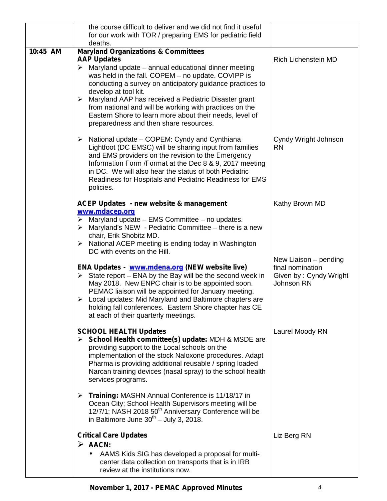|          | the course difficult to deliver and we did not find it useful<br>for our work with TOR / preparing EMS for pediatric field                                                                                                                                                                                                                                                                                                                                                                                                      |                                                                                   |
|----------|---------------------------------------------------------------------------------------------------------------------------------------------------------------------------------------------------------------------------------------------------------------------------------------------------------------------------------------------------------------------------------------------------------------------------------------------------------------------------------------------------------------------------------|-----------------------------------------------------------------------------------|
| 10:45 AM | deaths.<br><b>Maryland Organizations &amp; Committees</b><br><b>AAP Updates</b><br>Maryland update - annual educational dinner meeting<br>≻<br>was held in the fall. COPEM - no update. COVIPP is<br>conducting a survey on anticipatory guidance practices to<br>develop at tool kit.<br>$\triangleright$ Maryland AAP has received a Pediatric Disaster grant<br>from national and will be working with practices on the<br>Eastern Shore to learn more about their needs, level of<br>preparedness and then share resources. | <b>Rich Lichenstein MD</b>                                                        |
|          | National update - COPEM: Cyndy and Cynthiana<br>➤<br>Lightfoot (DC EMSC) will be sharing input from families<br>and EMS providers on the revision to the <i>Emergency</i><br>Information Form / Format at the Dec 8 & 9, 2017 meeting<br>in DC. We will also hear the status of both Pediatric<br>Readiness for Hospitals and Pediatric Readiness for EMS<br>policies.                                                                                                                                                          | Cyndy Wright Johnson<br><b>RN</b>                                                 |
|          | <b>ACEP Updates - new website &amp; management</b><br>www.mdacep.org<br>Maryland update - EMS Committee - no updates.<br>≻<br>Maryland's NEW - Pediatric Committee - there is a new<br>≻<br>chair, Erik Shobitz MD.<br>> National ACEP meeting is ending today in Washington<br>DC with events on the Hill.                                                                                                                                                                                                                     | Kathy Brown MD                                                                    |
|          | ENA Updates - www.mdena.org (NEW website live)<br>$\triangleright$ State report – ENA by the Bay will be the second week in<br>May 2018. New ENPC chair is to be appointed soon.<br>PEMAC liaison will be appointed for January meeting.<br>$\triangleright$ Local updates: Mid Maryland and Baltimore chapters are<br>holding fall conferences. Eastern Shore chapter has CE<br>at each of their quarterly meetings.                                                                                                           | New Liaison – pending<br>final nomination<br>Given by: Cyndy Wright<br>Johnson RN |
|          | <b>SCHOOL HEALTH Updates</b><br>> School Health committee(s) update: MDH & MSDE are<br>providing support to the Local schools on the<br>implementation of the stock Naloxone procedures. Adapt<br>Pharma is providing additional reusable / spring loaded<br>Narcan training devices (nasal spray) to the school health<br>services programs.                                                                                                                                                                                   | Laurel Moody RN                                                                   |
|          | <b>Training: MASHN Annual Conference is 11/18/17 in</b><br>$\blacktriangleright$<br>Ocean City; School Health Supervisors meeting will be<br>12/7/1; NASH 2018 50 <sup>th</sup> Anniversary Conference will be<br>in Baltimore June $30^{th}$ – July 3, 2018.                                                                                                                                                                                                                                                                   |                                                                                   |
|          | <b>Critical Care Updates</b><br>$\triangleright$ AACN:<br>AAMS Kids SIG has developed a proposal for multi-<br>center data collection on transports that is in IRB<br>review at the institutions now.                                                                                                                                                                                                                                                                                                                           | Liz Berg RN                                                                       |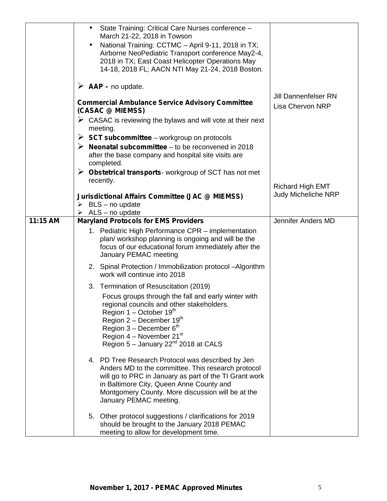|          | State Training: Critical Care Nurses conference -<br>March 21-22, 2018 in Towson<br>National Training: CCTMC - April 9-11, 2018 in TX;<br>Airborne NeoPediatric Transport conference May2-4,<br>2018 in TX; East Coast Helicopter Operations May<br>14-18, 2018 FL; AACN NTI May 21-24, 2018 Boston.<br>$\triangleright$ AAP – no update.                                                                                                                                                                                                                                                                                                                                                                                                                                                                                                                                                                                                                              |                                                        |
|----------|------------------------------------------------------------------------------------------------------------------------------------------------------------------------------------------------------------------------------------------------------------------------------------------------------------------------------------------------------------------------------------------------------------------------------------------------------------------------------------------------------------------------------------------------------------------------------------------------------------------------------------------------------------------------------------------------------------------------------------------------------------------------------------------------------------------------------------------------------------------------------------------------------------------------------------------------------------------------|--------------------------------------------------------|
|          | <b>Commercial Ambulance Service Advisory Committee</b><br>(CASAC @ MIEMSS)<br>$\triangleright$ CASAC is reviewing the bylaws and will vote at their next<br>meeting.<br>$\triangleright$ SCT subcommittee – workgroup on protocols<br>$\triangleright$ Neonatal subcommittee – to be reconvened in 2018<br>after the base company and hospital site visits are<br>completed.                                                                                                                                                                                                                                                                                                                                                                                                                                                                                                                                                                                           | <b>Jill Dannenfelser RN</b><br><b>Lisa Chervon NRP</b> |
|          | $\triangleright$ Obstetrical transports- workgroup of SCT has not met<br>recently.<br>Jurisdictional Affairs Committee (JAC @ MIEMSS)<br>$\triangleright$ BLS – no update<br>ALS - no update<br>➤                                                                                                                                                                                                                                                                                                                                                                                                                                                                                                                                                                                                                                                                                                                                                                      | <b>Richard High EMT</b><br>Judy Micheliche NRP         |
| 11:15 AM | <b>Maryland Protocols for EMS Providers</b><br>1. Pediatric High Performance CPR - implementation<br>plan/ workshop planning is ongoing and will be the<br>focus of our educational forum immediately after the<br>January PEMAC meeting<br>2. Spinal Protection / Immobilization protocol - Algorithm<br>work will continue into 2018<br>3. Termination of Resuscitation (2019)<br>Focus groups through the fall and early winter with<br>regional councils and other stakeholders<br>Region 1 - October 19th<br>Region $2 -$ December $19th$<br>Region $3 -$ December $6th$<br>Region $4 -$ November $21^{st}$<br>Region $5 -$ January 22 <sup>nd</sup> 2018 at CALS<br>4. PD Tree Research Protocol was described by Jen<br>Anders MD to the committee. This research protocol<br>will go to PRC in January as part of the TI Grant work<br>in Baltimore City, Queen Anne County and<br>Montgomery County. More discussion will be at the<br>January PEMAC meeting. | Jennifer Anders MD                                     |
|          | 5. Other protocol suggestions / clarifications for 2019<br>should be brought to the January 2018 PEMAC<br>meeting to allow for development time.                                                                                                                                                                                                                                                                                                                                                                                                                                                                                                                                                                                                                                                                                                                                                                                                                       |                                                        |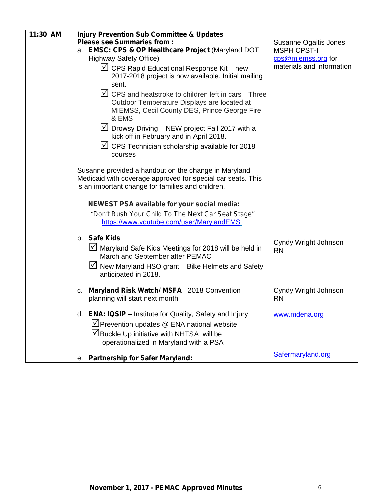| 11:30 AM | <b>Injury Prevention Sub Committee &amp; Updates</b><br><b>Please see Summaries from:</b><br>a. EMSC: CPS & OP Healthcare Project (Maryland DOT<br><b>Highway Safety Office)</b><br>$\triangledown$ CPS Rapid Educational Response Kit - new<br>2017-2018 project is now available. Initial mailing<br>sent.<br>$\vee$ CPS and heatstroke to children left in cars—Three<br>Outdoor Temperature Displays are located at<br>MIEMSS, Cecil County DES, Prince George Fire<br>& EMS<br>$\vee$ Drowsy Driving – NEW project Fall 2017 with a<br>kick off in February and in April 2018.<br>$\vee$ CPS Technician scholarship available for 2018<br>courses<br>Susanne provided a handout on the change in Maryland<br>Medicaid with coverage approved for special car seats. This<br>is an important change for families and children. | <b>Susanne Ogaitis Jones</b><br><b>MSPH CPST-I</b><br>cps@miemss.org for<br>materials and information |  |
|----------|------------------------------------------------------------------------------------------------------------------------------------------------------------------------------------------------------------------------------------------------------------------------------------------------------------------------------------------------------------------------------------------------------------------------------------------------------------------------------------------------------------------------------------------------------------------------------------------------------------------------------------------------------------------------------------------------------------------------------------------------------------------------------------------------------------------------------------|-------------------------------------------------------------------------------------------------------|--|
|          | <b>NEWEST PSA available for your social media:</b><br>"Don't Rush Your Child To The Next Car Seat Stage"<br>https://www.youtube.com/user/MarylandEMS                                                                                                                                                                                                                                                                                                                                                                                                                                                                                                                                                                                                                                                                               |                                                                                                       |  |
|          | b. Safe Kids<br>Maryland Safe Kids Meetings for 2018 will be held in<br>March and September after PEMAC<br>$\vee$ New Maryland HSO grant – Bike Helmets and Safety<br>anticipated in 2018.                                                                                                                                                                                                                                                                                                                                                                                                                                                                                                                                                                                                                                         | Cyndy Wright Johnson<br><b>RN</b>                                                                     |  |
|          | Maryland Risk Watch/ MSFA-2018 Convention<br>C.<br>planning will start next month                                                                                                                                                                                                                                                                                                                                                                                                                                                                                                                                                                                                                                                                                                                                                  | Cyndy Wright Johnson<br><b>RN</b>                                                                     |  |
|          | d. <b>ENA: IQSIP</b> – Institute for Quality, Safety and Injury<br>$\Box$ Prevention updates $@$ ENA national website<br>ØBuckle Up initiative with NHTSA will be<br>operationalized in Maryland with a PSA                                                                                                                                                                                                                                                                                                                                                                                                                                                                                                                                                                                                                        | www.mdena.org                                                                                         |  |
|          | <b>Partnership for Safer Maryland:</b><br>е.                                                                                                                                                                                                                                                                                                                                                                                                                                                                                                                                                                                                                                                                                                                                                                                       | Safermaryland.org                                                                                     |  |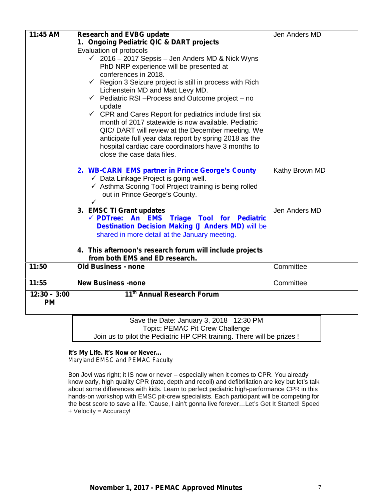| 11:45 AM                    | <b>Research and EVBG update</b><br>1. Ongoing Pediatric QIC & DART projects<br>Evaluation of protocols<br>2016 - 2017 Sepsis - Jen Anders MD & Nick Wyns<br>$\checkmark$<br>PhD NRP experience will be presented at<br>conferences in 2018.<br>$\checkmark$ Region 3 Seizure project is still in process with Rich<br>Lichenstein MD and Matt Levy MD.<br>$\checkmark$ Pediatric RSI-Process and Outcome project - no<br>update<br>$\checkmark$ CPR and Cares Report for pediatrics include first six<br>month of 2017 statewide is now available. Pediatric<br>QIC/ DART will review at the December meeting. We<br>anticipate full year data report by spring 2018 as the<br>hospital cardiac care coordinators have 3 months to<br>close the case data files. | Jen Anders MD  |  |  |
|-----------------------------|------------------------------------------------------------------------------------------------------------------------------------------------------------------------------------------------------------------------------------------------------------------------------------------------------------------------------------------------------------------------------------------------------------------------------------------------------------------------------------------------------------------------------------------------------------------------------------------------------------------------------------------------------------------------------------------------------------------------------------------------------------------|----------------|--|--|
|                             | 2. WB-CARN EMS partner in Prince George's County<br>$\checkmark$ Data Linkage Project is going well.<br>✓ Asthma Scoring Tool Project training is being rolled<br>out in Prince George's County.<br>✓                                                                                                                                                                                                                                                                                                                                                                                                                                                                                                                                                            | Kathy Brown MD |  |  |
|                             | 3. EMSC TI Grant updates<br>√ PDTree: An EMS Triage Tool for Pediatric<br><b>Destination Decision Making (J Anders MD)</b> will be<br>shared in more detail at the January meeting.<br>4. This afternoon's research forum will include projects<br>from both EMS and ED research.                                                                                                                                                                                                                                                                                                                                                                                                                                                                                | Jen Anders MD  |  |  |
| 11:50                       | <b>Old Business - none</b>                                                                                                                                                                                                                                                                                                                                                                                                                                                                                                                                                                                                                                                                                                                                       | Committee      |  |  |
| 11:55                       | <b>New Business -none</b>                                                                                                                                                                                                                                                                                                                                                                                                                                                                                                                                                                                                                                                                                                                                        | Committee      |  |  |
| $12:30 - 3:00$<br><b>PM</b> | 11 <sup>th</sup> Annual Research Forum                                                                                                                                                                                                                                                                                                                                                                                                                                                                                                                                                                                                                                                                                                                           |                |  |  |
|                             | Save the Date: January 3, 2018 12:30 PM<br>Topic: PEMAC Pit Crew Challenge<br>Join us to pilot the Pediatric HP CPR training. There will be prizes !                                                                                                                                                                                                                                                                                                                                                                                                                                                                                                                                                                                                             |                |  |  |

#### **It's My Life. It's Now or Never…**

*Maryland EMSC and PEMAC Faculty*

Bon Jovi was right; it IS now or never – especially when it comes to CPR. You already know early, high quality CPR (rate, depth and recoil) and defibrillation are key but let's talk about some differences with kids. Learn to perfect pediatric high-performance CPR in this hands-on workshop with EMSC pit-crew specialists. Each participant will be competing for the best score to save a life. 'Cause, I ain't gonna live forever…Let's Get It Started! Speed + Velocity = Accuracy!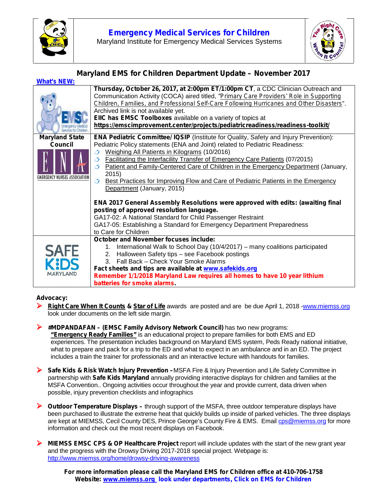

Maryland Institute for Emergency Medical Services Systems



#### *Maryland EMS for Children Department Update – November 2017 What's NEW:*

| <i><b>VVNat S NEW:</b></i>                                              |                                                                                                                                                                                                                                                                                                                                                                                                                                                                                                                                                                                                          |
|-------------------------------------------------------------------------|----------------------------------------------------------------------------------------------------------------------------------------------------------------------------------------------------------------------------------------------------------------------------------------------------------------------------------------------------------------------------------------------------------------------------------------------------------------------------------------------------------------------------------------------------------------------------------------------------------|
|                                                                         | Thursday, October 26, 2017, at 2:00pm ET/1:00pm CT, a CDC Clinician Outreach and<br>Communication Activity (COCA) aired titled, "Primary Care Providers' Role in Supporting<br>Children, Families, and Professional Self-Care Following Hurricanes and Other Disasters".<br>Archived link is not available yet.<br>EIIC has EMSC Toolboxes available on a variety of topics at<br>https://emscimprovement.center/projects/pediatricreadiness/readiness-toolkit/                                                                                                                                          |
| <b>Maryland State</b><br><b>Council</b><br>EMERGENCY NURSES ASSOCIATION | <b>ENA Pediatric Committee/ IQSIP</b> (Institute for Quality, Safety and Injury Prevention):<br>Pediatric Policy statements (ENA and Joint) related to Pediatric Readiness:<br>Weighing All Patients in Kilograms (10/2016)<br>$\mathcal{L}$<br><b>Facilitating the Interfacility Transfer of Emergency Care Patients (07/2015)</b><br>$\mathcal{L}$<br>Patient and Family-Centered Care of Children in the Emergency Department (January,<br>$\mathcal{L}$<br>2015)<br>Best Practices for Improving Flow and Care of Pediatric Patients in the Emergency<br>$\rightarrow$<br>Department (January, 2015) |
|                                                                         | ENA 2017 General Assembly Resolutions were approved with edits: (awaiting final<br>posting of approved resolution language.<br>GA17-02: A National Standard for Child Passenger Restraint<br>GA17-05: Establishing a Standard for Emergency Department Preparedness<br>to Care for Children                                                                                                                                                                                                                                                                                                              |
| <b>SAFE</b><br>MARYLAND                                                 | October and November focuses include:<br>International Walk to School Day (10/4/2017) – many coalitions participated<br>1.<br>Halloween Safety tips - see Facebook postings<br>2.<br>3. Fall Back - Check Your Smoke Alarms<br>Fact sheets and tips are available at www.safekids.org<br>Remember 1/1/2018 Maryland Law requires all homes to have 10 year lithium<br>batteries for smoke alarms                                                                                                                                                                                                         |

#### **Advocacy:**

- **Right Care When It Counts & Star of Life** awards are posted and are be due April 1, 2018 -www.miemss.org look under documents on the left side margin.
- **#MDPANDAFAN – (EMSC Family Advisory Network Council)** has two new programs: **"Emergency Ready Families"** is an educational project to prepare families for both EMS and ED experiences. The presentation includes background on Maryland EMS system, Peds Ready national initiative, what to prepare and pack for a trip to the ED and what to expect in an ambulance and in an ED. The project includes a train the trainer for professionals and an interactive lecture with handouts for families.
- **Safe Kids & Risk Watch Injury Prevention –**MSFA Fire & Injury Prevention and Life Safety Committee in partnership with **Safe Kids Maryland** annually providing interactive displays for children and families at the MSFA Convention.. Ongoing activities occur throughout the year and provide current, data driven when possible, injury prevention checklists and infographics
- **Outdoor Temperature Displays –** through support of the MSFA, three outdoor temperature displays have been purchased to illustrate the extreme heat that quickly builds up inside of parked vehicles. The three displays are kept at MIEMSS, Cecil County DES, Prince George's County Fire & EMS. Email cps@miemss.org for more information and check out the most recent displays on Facebook.
- **MIEMSS EMSC CPS & OP Healthcare Project** report will include updates with the start of the new grant year and the progress with the Drowsy Driving 2017-2018 special project. Webpage is: http://www.miemss.org/home/drowsy-driving-awareness

**For more information please call the Maryland EMS for Children office at 410-706-1758 Website: www.miemss.org look under departments, Click on EMS for Children**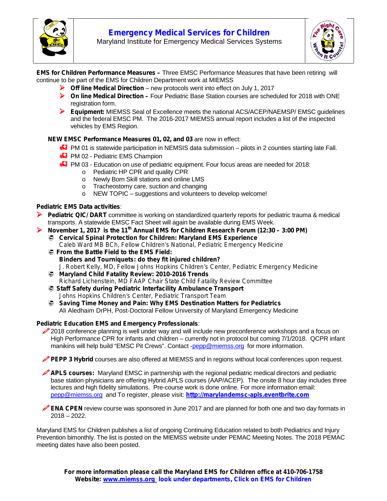

### **Emergency Medical Services for Children**

Maryland Institute for Emergency Medical Services Systems



**EMS for Children Performance Measures –** Three EMSC Performance Measures that have been retiring will continue to be part of the EMS for Children Department work at MIEMSS

- **Off line Medical Direction** new protocols went into effect on July 1, 2017
- **▶ On line Medical Direction** Four Pediatric Base Station courses are scheduled for 2018 with ONE registration form.
- **Equipment:** MIEMSS Seal of Excellence meets the national ACS/ACEP/NAEMSP/ EMSC guidelines and the federal EMSC PM. The 2016-2017 MIEMSS annual report includes a list of the inspected vehicles by EMS Region.

#### **NEW EMSC Performance Measures 01, 02, and 03** are now in effect:

- PM 01 is statewide participation in NEMSIS data submission pilots in 2 counties starting late Fall.
- **CO** PM 02 Pediatric EMS Champion
- PM 03 Education on use of pediatric equipment. Four focus areas are needed for 2018:
	- o Pediatric HP CPR and quality CPR
	- o Newly Born Skill stations and online LMS
	- o Tracheostomy care, suction and changing
	- o NEW TOPIC suggestions and volunteers to develop welcome!

#### **Pediatric EMS Data activities**:

- **Pediatric QIC/ DART** committee is working on standardized quarterly reports for pediatric trauma & medical transports. A statewide EMSC Fact Sheet will again be available during EMS Week.
- **November 1, 2017 is the 11 th Annual EMS for Children Research Forum (12:30 – 3:00 PM)**
	- **Cervical Spinal Protection for Children: Maryland EMS Experience** *Caleb Ward MB BCh, Fellow Children's National, Pediatric Emergency Medicine*
	- **From the Battle Field to the EMS Field: Binders and Tourniquets: do they fit injured children?** *J. Robert Kelly, MD, Fellow Johns Hopkins Children's Center, Pediatric Emergency Medicine*
	- **Maryland Child Fatality Review: 2010-2016 Trends** *Richard Lichenstein, MD FAAP Chair State Child Fatality Review Committee*
	- **Staff Safety during Pediatric Interfacility Ambulance Transport** *Johns Hopkins Children's Center, Pediatric Transport Team*
	- **Saving Time Money and Pain: Why EMS Destination Matters for Pediatrics** Ali Aledhaim DrPH, Post-Doctoral Fellow University of Maryland Emergency Medicine

#### **Pediatric Education EMS and Emergency Professionals**:

2018 conference planning is well under way and will include new preconference workshops and a focus on High Performance CPR for infants and children – currently not in protocol but coming 7/1/2018. QCPR infant manikins will help build "EMSC Pit Crews". Contact -pepp@miemss.org for more information.

**PEPP 3 Hybrid** courses are also offered at MIEMSS and in regions without local conferences upon request.

**APLS courses:** Maryland EMSC in partnership with the regional pediatric medical directors and pediatric base station physicians are offering Hybrid APLS courses (AAP/ACEP). The onsite 8 hour day includes three lectures and high fidelity simulations. Pre-course work is done online. For more information email: pepp@miemss.org and To register, please visit: **http://marylandemsc-apls.eventbrite.com**

**ENA CPEN** review course was sponsored in June 2017 and are planned for both one and two day formats in 2018 – 2022.

Maryland EMS for Children publishes a list of ongoing Continuing Education related to both Pediatrics and Injury Prevention bimonthly. The list is posted on the MIEMSS website under PEMAC Meeting Notes. The 2018 PEMAC meeting dates have also been posted.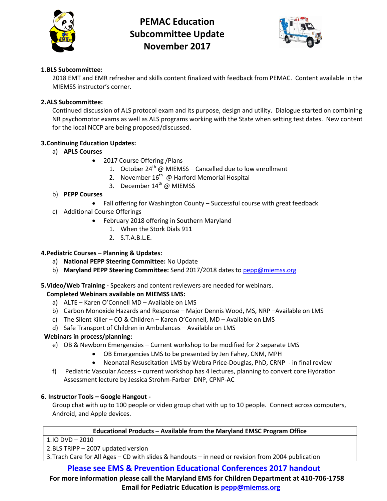

# **PEMAC Education Subcommittee Update November 2017**



#### **1.BLS Subcommittee:**

2018 EMT and EMR refresher and skills content finalized with feedback from PEMAC. Content available in the MIEMSS instructor's corner.

#### **2.ALS Subcommittee:**

Continued discussion of ALS protocol exam and its purpose, design and utility. Dialogue started on combining NR psychomotor exams as well as ALS programs working with the State when setting test dates. New content for the local NCCP are being proposed/discussed.

#### **3.Continuing Education Updates:**

#### a) **APLS Courses**

- 2017 Course Offering / Plans
	- 1. October  $24^{th}$  @ MIEMSS Cancelled due to low enrollment
	- 2. November  $16^{th}$  @ Harford Memorial Hospital
	- 3. December 14<sup>th</sup> @ MIEMSS

#### b) **PEPP Courses**

- Fall offering for Washington County Successful course with great feedback
- c) Additional Course Offerings
	- February 2018 offering in Southern Maryland
		- 1. When the Stork Dials 911
		- 2. S.T.A.B.L.E.

#### **4.Pediatric Courses – Planning & Updates:**

- a) **National PEPP Steering Committee:** No Update
- b) **Maryland PEPP Steering Committee:** Send 2017/2018 dates t[o pepp@miemss.org](mailto:pepp@miemss.org)

#### **5.Video/Web Training -** Speakers and content reviewers are needed for webinars.

#### **Completed Webinars available on MIEMSS LMS:**

- a) ALTE Karen O'Connell MD Available on LMS
- b) Carbon Monoxide Hazards and Response Major Dennis Wood, MS, NRP –Available on LMS
- c) The Silent Killer CO & Children Karen O'Connell, MD Available on LMS
- d) Safe Transport of Children in Ambulances Available on LMS

### **Webinars in process/planning:**

- e) OB & Newborn Emergencies Current workshop to be modified for 2 separate LMS
	- OB Emergencies LMS to be presented by Jen Fahey, CNM, MPH
	- Neonatal Resuscitation LMS by Webra Price-Douglas, PhD, CRNP in final review
- f) Pediatric Vascular Access current workshop has 4 lectures, planning to convert core Hydration Assessment lecture by Jessica Strohm-Farber DNP, CPNP-AC

#### **6. Instructor Tools – Google Hangout -**

Group chat with up to 100 people or video group chat with up to 10 people. Connect across computers, Android, and Apple devices.

#### **Educational Products – Available from the Maryland EMSC Program Office**

1.IO DVD – 2010

2.BLS TRIPP – 2007 updated version

3.Trach Care for All Ages – CD with slides & handouts – in need or revision from 2004 publication

### **Please see EMS & Prevention Educational Conferences 2017 handout**

**For more information please call the Maryland EMS for Children Department at 410-706-1758 Email for Pediatric Education is [pepp@miemss.org](mailto:pepp@miemss.org)**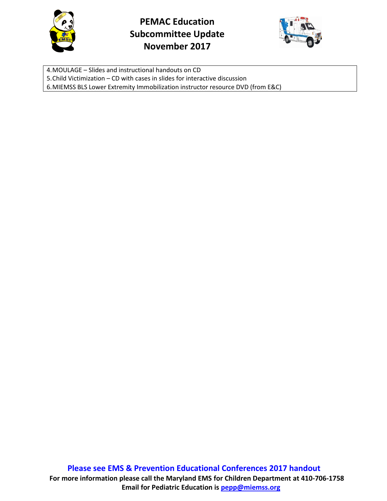

# **PEMAC Education Subcommittee Update November 2017**



4.MOULAGE – Slides and instructional handouts on CD 5.Child Victimization – CD with cases in slides for interactive discussion 6.MIEMSS BLS Lower Extremity Immobilization instructor resource DVD (from E&C)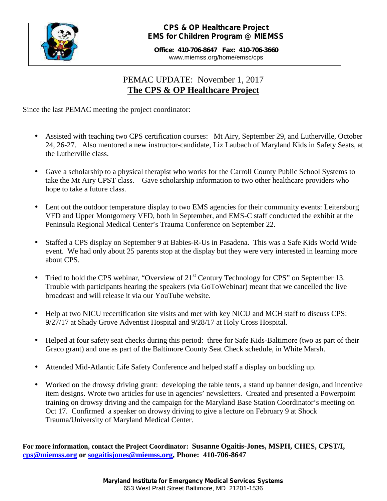

### *CPS & OP Healthcare Project EMS for Children Program @ MIEMSS*

**Office: 410-706-8647 Fax: 410-706-3660** www.miemss.org/home/emsc/cps

# PEMAC UPDATE: November 1, 2017 **The CPS & OP Healthcare Project**

Since the last PEMAC meeting the project coordinator:

- Assisted with teaching two CPS certification courses: Mt Airy, September 29, and Lutherville, October 24, 26-27. Also mentored a new instructor-candidate, Liz Laubach of Maryland Kids in Safety Seats, at the Lutherville class.
- Gave a scholarship to a physical therapist who works for the Carroll County Public School Systems to take the Mt Airy CPST class. Gave scholarship information to two other healthcare providers who hope to take a future class.
- Lent out the outdoor temperature display to two EMS agencies for their community events: Leitersburg VFD and Upper Montgomery VFD, both in September, and EMS-C staff conducted the exhibit at the Peninsula Regional Medical Center's Trauma Conference on September 22.
- Staffed a CPS display on September 9 at Babies-R-Us in Pasadena. This was a Safe Kids World Wide event. We had only about 25 parents stop at the display but they were very interested in learning more about CPS.
- Tried to hold the CPS webinar, "Overview of 21<sup>st</sup> Century Technology for CPS" on September 13. Trouble with participants hearing the speakers (via GoToWebinar) meant that we cancelled the live broadcast and will release it via our YouTube website.
- Help at two NICU recertification site visits and met with key NICU and MCH staff to discuss CPS: 9/27/17 at Shady Grove Adventist Hospital and 9/28/17 at Holy Cross Hospital.
- Helped at four safety seat checks during this period: three for Safe Kids-Baltimore (two as part of their Graco grant) and one as part of the Baltimore County Seat Check schedule, in White Marsh.
- Attended Mid-Atlantic Life Safety Conference and helped staff a display on buckling up.
- Worked on the drowsy driving grant: developing the table tents, a stand up banner design, and incentive item designs. Wrote two articles for use in agencies' newsletters. Created and presented a Powerpoint training on drowsy driving and the campaign for the Maryland Base Station Coordinator's meeting on Oct 17. Confirmed a speaker on drowsy driving to give a lecture on February 9 at Shock Trauma/University of Maryland Medical Center.

**For more information, contact the Project Coordinator: Susanne Ogaitis-Jones, MSPH, CHES, CPST/I, cps@miemss.org or sogaitisjones@miemss.org, Phone: 410-706-8647**